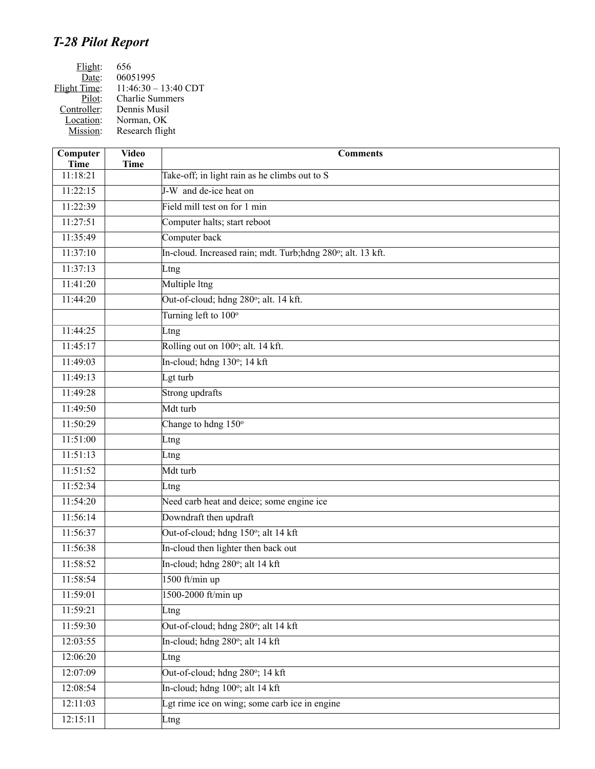## *T-28 Pilot Report*

| Flight:      | 656                    |
|--------------|------------------------|
| Date:        | 06051995               |
| Flight Time: | $11:46:30 - 13:40$ CDT |
| Pilot:       | <b>Charlie Summers</b> |
| Controller:  | Dennis Musil           |
| Location:    | Norman, OK             |
| Mission:     | Research flight        |
|              |                        |

| Computer<br><b>Time</b> | <b>Video</b><br><b>Time</b> | <b>Comments</b>                                              |
|-------------------------|-----------------------------|--------------------------------------------------------------|
| 11:18:21                |                             | Take-off; in light rain as he climbs out to S                |
| 11:22:15                |                             | J-W and de-ice heat on                                       |
| 11:22:39                |                             | Field mill test on for 1 min                                 |
| 11:27:51                |                             | Computer halts; start reboot                                 |
| 11:35:49                |                             | Computer back                                                |
| 11:37:10                |                             | In-cloud. Increased rain; mdt. Turb; hdng 280°; alt. 13 kft. |
| 11:37:13                |                             | Ltng                                                         |
| 11:41:20                |                             | Multiple ltng                                                |
| 11:44:20                |                             | Out-of-cloud; hdng 280°; alt. 14 kft.                        |
|                         |                             | Turning left to 100°                                         |
| 11:44:25                |                             | Ltng                                                         |
| 11:45:17                |                             | Rolling out on 100°; alt. 14 kft.                            |
| 11:49:03                |                             | In-cloud; hdng 130°; 14 kft                                  |
| 11:49:13                |                             | Lgt turb                                                     |
| 11:49:28                |                             | Strong updrafts                                              |
| 11:49:50                |                             | Mdt turb                                                     |
| 11:50:29                |                             | Change to hdng 150°                                          |
| 11:51:00                |                             | Ltng                                                         |
| 11:51:13                |                             | Ltng                                                         |
| 11:51:52                |                             | Mdt turb                                                     |
| 11:52:34                |                             | Ltng                                                         |
| 11:54:20                |                             | Need carb heat and deice; some engine ice                    |
| 11:56:14                |                             | Downdraft then updraft                                       |
| 11:56:37                |                             | Out-of-cloud; hdng 150°; alt 14 kft                          |
| 11:56:38                |                             | In-cloud then lighter then back out                          |
| 11:58:52                |                             | In-cloud; hdng 280°; alt 14 kft                              |
| 11:58:54                |                             | 1500 ft/min up                                               |
| 11:59:01                |                             | 1500-2000 ft/min up                                          |
| 11:59:21                |                             | Ltng                                                         |
| 11:59:30                |                             | Out-of-cloud; hdng 280°; alt 14 kft                          |
| 12:03:55                |                             | In-cloud; hdng 280°; alt 14 kft                              |
| 12:06:20                |                             | Ltng                                                         |
| 12:07:09                |                             | Out-of-cloud; hdng 280°; 14 kft                              |
| 12:08:54                |                             | In-cloud; hdng 100°; alt 14 kft                              |
| 12:11:03                |                             | Lgt rime ice on wing; some carb ice in engine                |
| 12:15:11                |                             | Ltng                                                         |